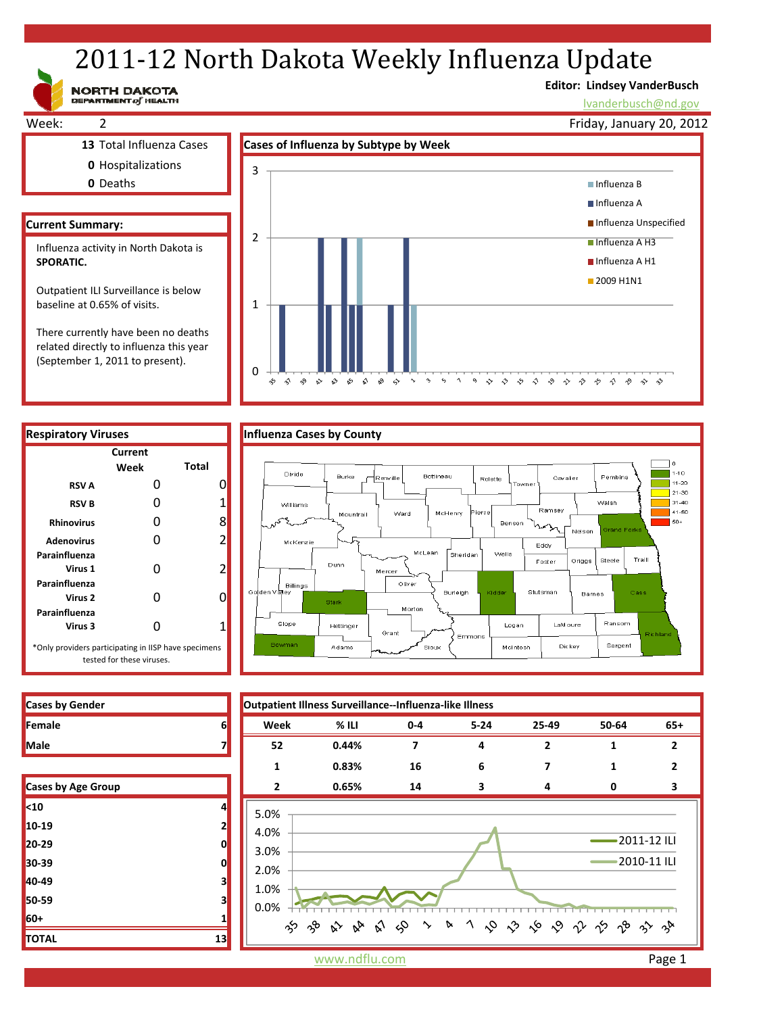# 2011-12 North Dakota Weekly Influenza Update

NORTH DAKOTA

# **Editor: Lindsey VanderBusch**

\* \* \* \* \* \* \* \* \* \*

Dickey

McIntosh

Sargent

lvanderbusch@nd.gov



related directly to influenza this year (September 1, 2011 to present).



 $\overline{0}$ 

÷,

 $\hat{\gamma}$ Ą9  $\hat{\mathbf{w}}$  $\mathbf{\hat{v}}$  $\mathbf{\hat{v}}$  $\hat{\mathbf{x}}$  $\mathcal{S}$  $\leftrightarrow$  $\ddot{\phantom{1}}$ 



Sioux

 $\gamma$  $\varsigma_2$  $\gamma$  $\circ$  $\diamondsuit$   $\diamondsuit$ 



| Cases by Age Group |    |
|--------------------|----|
| <sub>10</sub>      | 4  |
| 10-19              | 2  |
| $20 - 29$          | 0  |
| 30-39              | 0  |
| 40-49              | 3  |
| 50-59              | 3  |
| 60+                | 1  |
| <b>TOTAL</b>       | 13 |

 $50+$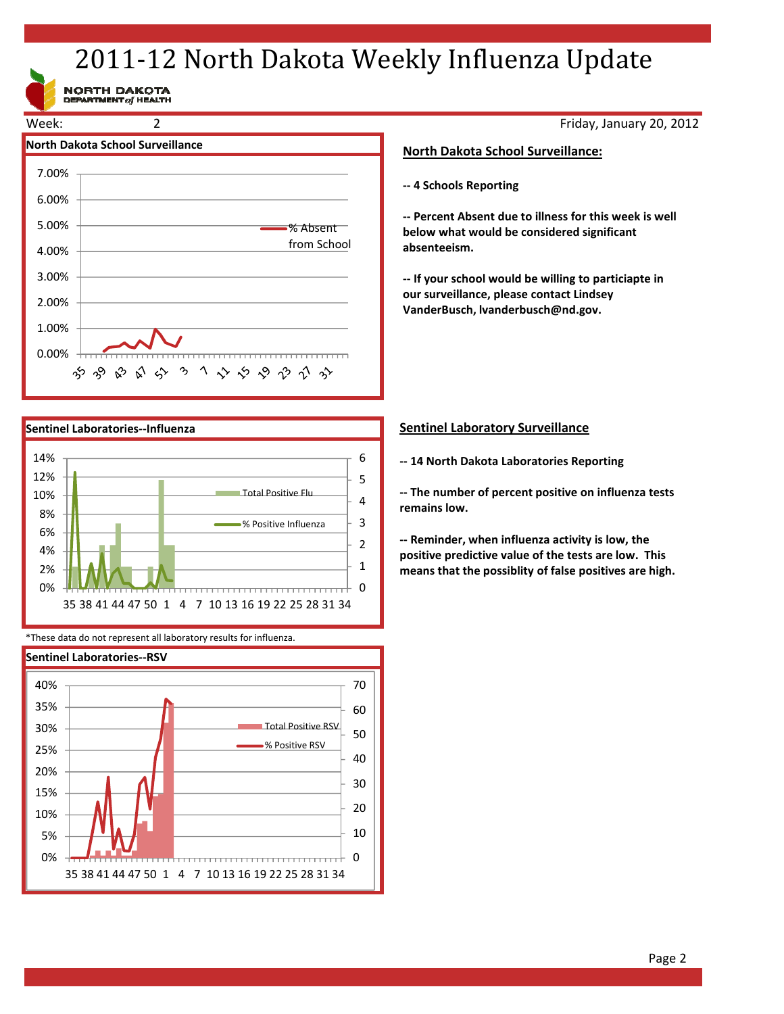# 2011-12 North Dakota Weekly Influenza Update

NORTH DAKOTA<br>DEPARTMENT of HEALTH





\*These data do not represent all laboratory results for influenza.



Friday, January 20, 2012

## **North Dakota School Surveillance:**

**‐‐ 4 Schools Reporting**

**‐‐ Percent Absent due to illness for this week is well below what would be considered significant absenteeism.**

**‐‐ If your school would be willing to particiapte in our surveillance, please contact Lindsey VanderBusch, lvanderbusch@nd.gov.**

# **Sentinel Laboratory Surveillance**

**‐‐ 14 North Dakota Laboratories Reporting**

**‐‐ The number of percent positive on influenza tests remains low.**

**‐‐ Reminder, when influenza activity is low, the positive predictive value of the tests are low. This means that the possiblity of false positives are high.**